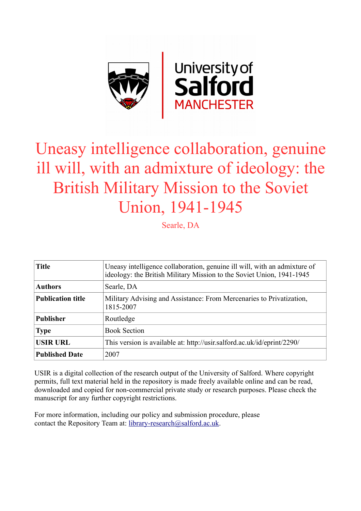

# Uneasy intelligence collaboration, genuine ill will, with an admixture of ideology: the British Military Mission to the Soviet Union, 1941-1945

Searle, DA

| <b>Title</b>             | Uneasy intelligence collaboration, genuine ill will, with an admixture of<br>ideology: the British Military Mission to the Soviet Union, 1941-1945 |
|--------------------------|----------------------------------------------------------------------------------------------------------------------------------------------------|
| <b>Authors</b>           | Searle, DA                                                                                                                                         |
| <b>Publication title</b> | Military Advising and Assistance: From Mercenaries to Privatization,<br>1815-2007                                                                  |
| <b>Publisher</b>         | Routledge                                                                                                                                          |
| <b>Type</b>              | <b>Book Section</b>                                                                                                                                |
| <b>USIR URL</b>          | This version is available at: http://usir.salford.ac.uk/id/eprint/2290/                                                                            |
| <b>Published Date</b>    | 2007                                                                                                                                               |

USIR is a digital collection of the research output of the University of Salford. Where copyright permits, full text material held in the repository is made freely available online and can be read, downloaded and copied for non-commercial private study or research purposes. Please check the manuscript for any further copyright restrictions.

For more information, including our policy and submission procedure, please contact the Repository Team at: [library-research@salford.ac.uk.](mailto:library-research@salford.ac.uk)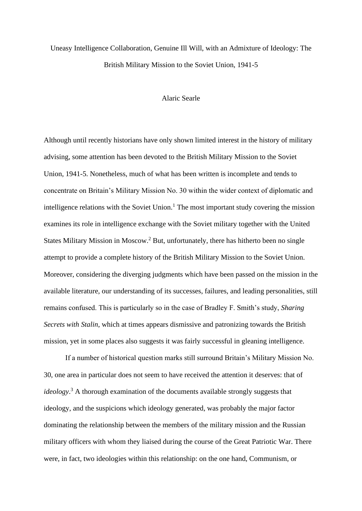## Uneasy Intelligence Collaboration, Genuine Ill Will, with an Admixture of Ideology: The British Military Mission to the Soviet Union, 1941-5

### Alaric Searle

Although until recently historians have only shown limited interest in the history of military advising, some attention has been devoted to the British Military Mission to the Soviet Union, 1941-5. Nonetheless, much of what has been written is incomplete and tends to concentrate on Britain's Military Mission No. 30 within the wider context of diplomatic and intelligence relations with the Soviet Union.<sup>1</sup> The most important study covering the mission examines its role in intelligence exchange with the Soviet military together with the United States Military Mission in Moscow.<sup>2</sup> But, unfortunately, there has hitherto been no single attempt to provide a complete history of the British Military Mission to the Soviet Union. Moreover, considering the diverging judgments which have been passed on the mission in the available literature, our understanding of its successes, failures, and leading personalities, still remains confused. This is particularly so in the case of Bradley F. Smith's study, *Sharing Secrets with Stalin*, which at times appears dismissive and patronizing towards the British mission, yet in some places also suggests it was fairly successful in gleaning intelligence.

If a number of historical question marks still surround Britain's Military Mission No. 30, one area in particular does not seem to have received the attention it deserves: that of *ideology*. <sup>3</sup> A thorough examination of the documents available strongly suggests that ideology, and the suspicions which ideology generated, was probably the major factor dominating the relationship between the members of the military mission and the Russian military officers with whom they liaised during the course of the Great Patriotic War. There were, in fact, two ideologies within this relationship: on the one hand, Communism, or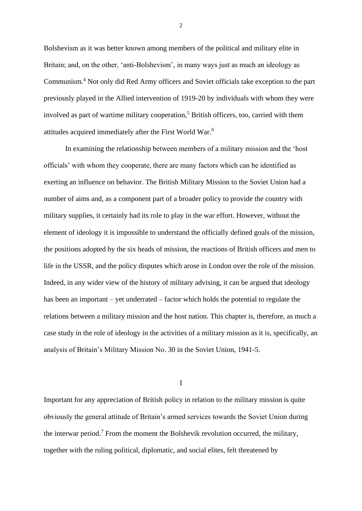Bolshevism as it was better known among members of the political and military elite in Britain; and, on the other, 'anti-Bolshevism', in many ways just as much an ideology as Communism.<sup>4</sup> Not only did Red Army officers and Soviet officials take exception to the part previously played in the Allied intervention of 1919-20 by individuals with whom they were involved as part of wartime military cooperation,<sup>5</sup> British officers, too, carried with them attitudes acquired immediately after the First World War.<sup>6</sup>

In examining the relationship between members of a military mission and the 'host officials' with whom they cooperate, there are many factors which can be identified as exerting an influence on behavior. The British Military Mission to the Soviet Union had a number of aims and, as a component part of a broader policy to provide the country with military supplies, it certainly had its role to play in the war effort. However, without the element of ideology it is impossible to understand the officially defined goals of the mission, the positions adopted by the six heads of mission, the reactions of British officers and men to life in the USSR, and the policy disputes which arose in London over the role of the mission. Indeed, in any wider view of the history of military advising, it can be argued that ideology has been an important – yet underrated – factor which holds the potential to regulate the relations between a military mission and the host nation. This chapter is, therefore, as much a case study in the role of ideology in the activities of a military mission as it is, specifically, an analysis of Britain's Military Mission No. 30 in the Soviet Union, 1941-5.

I

Important for any appreciation of British policy in relation to the military mission is quite obviously the general attitude of Britain's armed services towards the Soviet Union during the interwar period.<sup>7</sup> From the moment the Bolshevik revolution occurred, the military, together with the ruling political, diplomatic, and social elites, felt threatened by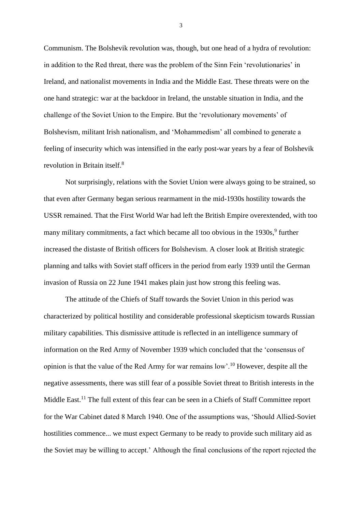Communism. The Bolshevik revolution was, though, but one head of a hydra of revolution: in addition to the Red threat, there was the problem of the Sinn Fein 'revolutionaries' in Ireland, and nationalist movements in India and the Middle East. These threats were on the one hand strategic: war at the backdoor in Ireland, the unstable situation in India, and the challenge of the Soviet Union to the Empire. But the 'revolutionary movements' of Bolshevism, militant Irish nationalism, and 'Mohammedism' all combined to generate a feeling of insecurity which was intensified in the early post-war years by a fear of Bolshevik revolution in Britain itself.<sup>8</sup>

Not surprisingly, relations with the Soviet Union were always going to be strained, so that even after Germany began serious rearmament in the mid-1930s hostility towards the USSR remained. That the First World War had left the British Empire overextended, with too many military commitments, a fact which became all too obvious in the 1930s,<sup>9</sup> further increased the distaste of British officers for Bolshevism. A closer look at British strategic planning and talks with Soviet staff officers in the period from early 1939 until the German invasion of Russia on 22 June 1941 makes plain just how strong this feeling was.

The attitude of the Chiefs of Staff towards the Soviet Union in this period was characterized by political hostility and considerable professional skepticism towards Russian military capabilities. This dismissive attitude is reflected in an intelligence summary of information on the Red Army of November 1939 which concluded that the 'consensus of opinion is that the value of the Red Army for war remains low'.<sup>10</sup> However, despite all the negative assessments, there was still fear of a possible Soviet threat to British interests in the Middle East.<sup>11</sup> The full extent of this fear can be seen in a Chiefs of Staff Committee report for the War Cabinet dated 8 March 1940. One of the assumptions was, 'Should Allied-Soviet hostilities commence... we must expect Germany to be ready to provide such military aid as the Soviet may be willing to accept.' Although the final conclusions of the report rejected the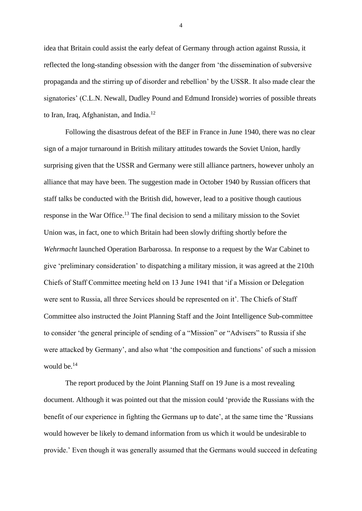idea that Britain could assist the early defeat of Germany through action against Russia, it reflected the long-standing obsession with the danger from 'the dissemination of subversive propaganda and the stirring up of disorder and rebellion' by the USSR. It also made clear the signatories' (C.L.N. Newall, Dudley Pound and Edmund Ironside) worries of possible threats to Iran, Iraq, Afghanistan, and India.<sup>12</sup>

Following the disastrous defeat of the BEF in France in June 1940, there was no clear sign of a major turnaround in British military attitudes towards the Soviet Union, hardly surprising given that the USSR and Germany were still alliance partners, however unholy an alliance that may have been. The suggestion made in October 1940 by Russian officers that staff talks be conducted with the British did, however, lead to a positive though cautious response in the War Office.<sup>13</sup> The final decision to send a military mission to the Soviet Union was, in fact, one to which Britain had been slowly drifting shortly before the *Wehrmacht* launched Operation Barbarossa. In response to a request by the War Cabinet to give 'preliminary consideration' to dispatching a military mission, it was agreed at the 210th Chiefs of Staff Committee meeting held on 13 June 1941 that 'if a Mission or Delegation were sent to Russia, all three Services should be represented on it'. The Chiefs of Staff Committee also instructed the Joint Planning Staff and the Joint Intelligence Sub-committee to consider 'the general principle of sending of a "Mission" or "Advisers" to Russia if she were attacked by Germany', and also what 'the composition and functions' of such a mission would be.<sup>14</sup>

The report produced by the Joint Planning Staff on 19 June is a most revealing document. Although it was pointed out that the mission could 'provide the Russians with the benefit of our experience in fighting the Germans up to date', at the same time the 'Russians would however be likely to demand information from us which it would be undesirable to provide.' Even though it was generally assumed that the Germans would succeed in defeating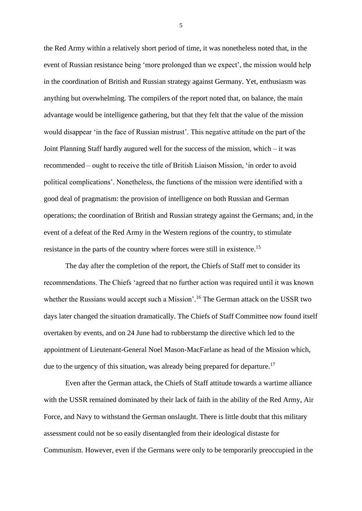the Red Army within a relatively short period of time, it was nonetheless noted that, in the event of Russian resistance being 'more prolonged than we expect', the mission would help in the coordination of British and Russian strategy against Germany. Yet, enthusiasm was anything but overwhelming. The compilers of the report noted that, on balance, the main advantage would be intelligence gathering, but that they felt that the value of the mission would disappear 'in the face of Russian mistrust'. This negative attitude on the part of the Joint Planning Staff hardly augured well for the success of the mission, which – it was recommended – ought to receive the title of British Liaison Mission, 'in order to avoid political complications'. Nonetheless, the functions of the mission were identified with a good deal of pragmatism: the provision of intelligence on both Russian and German operations; the coordination of British and Russian strategy against the Germans; and, in the event of a defeat of the Red Army in the Western regions of the country, to stimulate resistance in the parts of the country where forces were still in existence.<sup>15</sup>

The day after the completion of the report, the Chiefs of Staff met to consider its recommendations. The Chiefs 'agreed that no further action was required until it was known whether the Russians would accept such a Mission'.<sup>16</sup> The German attack on the USSR two days later changed the situation dramatically. The Chiefs of Staff Committee now found itself overtaken by events, and on 24 June had to rubberstamp the directive which led to the appointment of Lieutenant-General Noel Mason-MacFarlane as head of the Mission which, due to the urgency of this situation, was already being prepared for departure.<sup>17</sup>

Even after the German attack, the Chiefs of Staff attitude towards a wartime alliance with the USSR remained dominated by their lack of faith in the ability of the Red Army, Air Force, and Navy to withstand the German onslaught. There is little doubt that this military assessment could not be so easily disentangled from their ideological distaste for Communism. However, even if the Germans were only to be temporarily preoccupied in the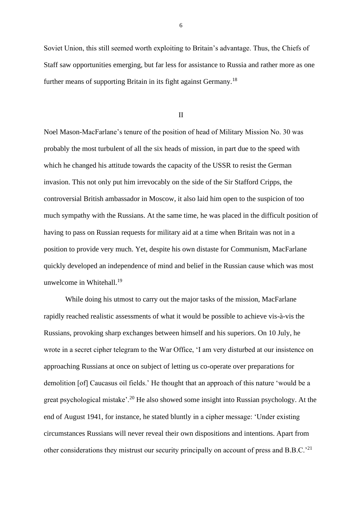Soviet Union, this still seemed worth exploiting to Britain's advantage. Thus, the Chiefs of Staff saw opportunities emerging, but far less for assistance to Russia and rather more as one further means of supporting Britain in its fight against Germany.<sup>18</sup>

II

Noel Mason-MacFarlane's tenure of the position of head of Military Mission No. 30 was probably the most turbulent of all the six heads of mission, in part due to the speed with which he changed his attitude towards the capacity of the USSR to resist the German invasion. This not only put him irrevocably on the side of the Sir Stafford Cripps, the controversial British ambassador in Moscow, it also laid him open to the suspicion of too much sympathy with the Russians. At the same time, he was placed in the difficult position of having to pass on Russian requests for military aid at a time when Britain was not in a position to provide very much. Yet, despite his own distaste for Communism, MacFarlane quickly developed an independence of mind and belief in the Russian cause which was most unwelcome in Whitehall.<sup>19</sup>

While doing his utmost to carry out the major tasks of the mission, MacFarlane rapidly reached realistic assessments of what it would be possible to achieve vis-à-vis the Russians, provoking sharp exchanges between himself and his superiors. On 10 July, he wrote in a secret cipher telegram to the War Office, 'I am very disturbed at our insistence on approaching Russians at once on subject of letting us co-operate over preparations for demolition [of] Caucasus oil fields.' He thought that an approach of this nature 'would be a great psychological mistake'.<sup>20</sup> He also showed some insight into Russian psychology. At the end of August 1941, for instance, he stated bluntly in a cipher message: 'Under existing circumstances Russians will never reveal their own dispositions and intentions. Apart from other considerations they mistrust our security principally on account of press and B.B.C.<sup>21</sup>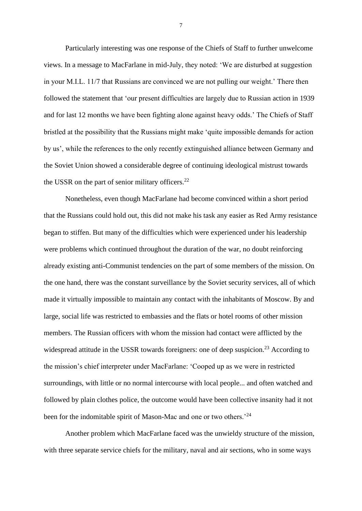Particularly interesting was one response of the Chiefs of Staff to further unwelcome views. In a message to MacFarlane in mid-July, they noted: 'We are disturbed at suggestion in your M.I.L. 11/7 that Russians are convinced we are not pulling our weight.' There then followed the statement that 'our present difficulties are largely due to Russian action in 1939 and for last 12 months we have been fighting alone against heavy odds.' The Chiefs of Staff bristled at the possibility that the Russians might make 'quite impossible demands for action by us', while the references to the only recently extinguished alliance between Germany and the Soviet Union showed a considerable degree of continuing ideological mistrust towards the USSR on the part of senior military officers.<sup>22</sup>

Nonetheless, even though MacFarlane had become convinced within a short period that the Russians could hold out, this did not make his task any easier as Red Army resistance began to stiffen. But many of the difficulties which were experienced under his leadership were problems which continued throughout the duration of the war, no doubt reinforcing already existing anti-Communist tendencies on the part of some members of the mission. On the one hand, there was the constant surveillance by the Soviet security services, all of which made it virtually impossible to maintain any contact with the inhabitants of Moscow. By and large, social life was restricted to embassies and the flats or hotel rooms of other mission members. The Russian officers with whom the mission had contact were afflicted by the widespread attitude in the USSR towards foreigners: one of deep suspicion.<sup>23</sup> According to the mission's chief interpreter under MacFarlane: 'Cooped up as we were in restricted surroundings, with little or no normal intercourse with local people... and often watched and followed by plain clothes police, the outcome would have been collective insanity had it not been for the indomitable spirit of Mason-Mac and one or two others.<sup>'24</sup>

Another problem which MacFarlane faced was the unwieldy structure of the mission, with three separate service chiefs for the military, naval and air sections, who in some ways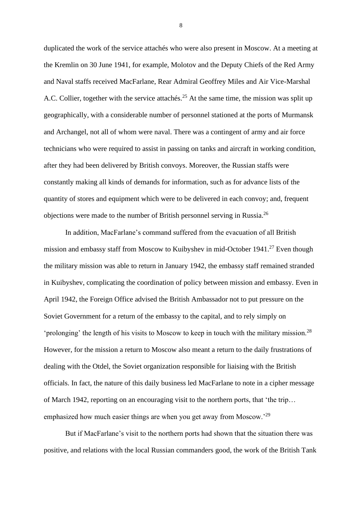duplicated the work of the service attachés who were also present in Moscow. At a meeting at the Kremlin on 30 June 1941, for example, Molotov and the Deputy Chiefs of the Red Army and Naval staffs received MacFarlane, Rear Admiral Geoffrey Miles and Air Vice-Marshal A.C. Collier, together with the service attachés.<sup>25</sup> At the same time, the mission was split up geographically, with a considerable number of personnel stationed at the ports of Murmansk and Archangel, not all of whom were naval. There was a contingent of army and air force technicians who were required to assist in passing on tanks and aircraft in working condition, after they had been delivered by British convoys. Moreover, the Russian staffs were constantly making all kinds of demands for information, such as for advance lists of the quantity of stores and equipment which were to be delivered in each convoy; and, frequent objections were made to the number of British personnel serving in Russia.<sup>26</sup>

In addition, MacFarlane's command suffered from the evacuation of all British mission and embassy staff from Moscow to Kuibyshev in mid-October  $1941.<sup>27</sup>$  Even though the military mission was able to return in January 1942, the embassy staff remained stranded in Kuibyshev, complicating the coordination of policy between mission and embassy. Even in April 1942, the Foreign Office advised the British Ambassador not to put pressure on the Soviet Government for a return of the embassy to the capital, and to rely simply on 'prolonging' the length of his visits to Moscow to keep in touch with the military mission.<sup>28</sup> However, for the mission a return to Moscow also meant a return to the daily frustrations of dealing with the Otdel, the Soviet organization responsible for liaising with the British officials. In fact, the nature of this daily business led MacFarlane to note in a cipher message of March 1942, reporting on an encouraging visit to the northern ports, that 'the trip… emphasized how much easier things are when you get away from Moscow.'<sup>29</sup>

But if MacFarlane's visit to the northern ports had shown that the situation there was positive, and relations with the local Russian commanders good, the work of the British Tank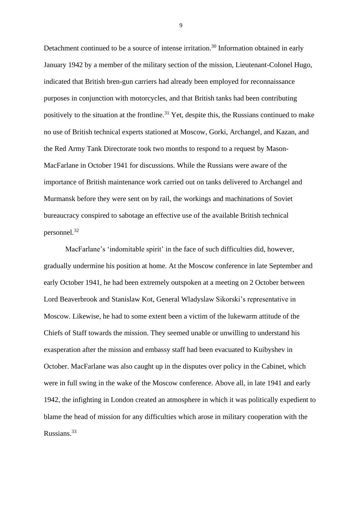Detachment continued to be a source of intense irritation.<sup>30</sup> Information obtained in early January 1942 by a member of the military section of the mission, Lieutenant-Colonel Hugo, indicated that British bren-gun carriers had already been employed for reconnaissance purposes in conjunction with motorcycles, and that British tanks had been contributing positively to the situation at the frontline.<sup>31</sup> Yet, despite this, the Russians continued to make no use of British technical experts stationed at Moscow, Gorki, Archangel, and Kazan, and the Red Army Tank Directorate took two months to respond to a request by Mason-MacFarlane in October 1941 for discussions. While the Russians were aware of the importance of British maintenance work carried out on tanks delivered to Archangel and Murmansk before they were sent on by rail, the workings and machinations of Soviet bureaucracy conspired to sabotage an effective use of the available British technical personnel.<sup>32</sup>

MacFarlane's 'indomitable spirit' in the face of such difficulties did, however, gradually undermine his position at home. At the Moscow conference in late September and early October 1941, he had been extremely outspoken at a meeting on 2 October between Lord Beaverbrook and Stanislaw Kot, General Wladyslaw Sikorski's representative in Moscow. Likewise, he had to some extent been a victim of the lukewarm attitude of the Chiefs of Staff towards the mission. They seemed unable or unwilling to understand his exasperation after the mission and embassy staff had been evacuated to Kuibyshev in October. MacFarlane was also caught up in the disputes over policy in the Cabinet, which were in full swing in the wake of the Moscow conference. Above all, in late 1941 and early 1942, the infighting in London created an atmosphere in which it was politically expedient to blame the head of mission for any difficulties which arose in military cooperation with the Russians.<sup>33</sup>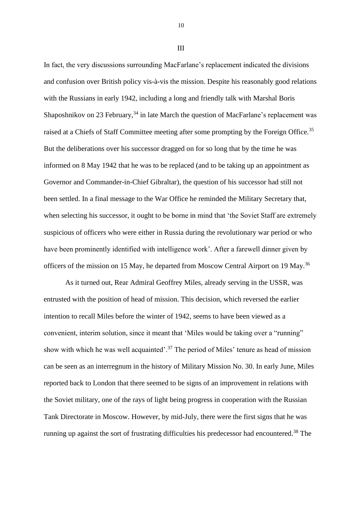In fact, the very discussions surrounding MacFarlane's replacement indicated the divisions and confusion over British policy vis-à-vis the mission. Despite his reasonably good relations with the Russians in early 1942, including a long and friendly talk with Marshal Boris Shaposhnikov on 23 February,  $34$  in late March the question of MacFarlane's replacement was raised at a Chiefs of Staff Committee meeting after some prompting by the Foreign Office.<sup>35</sup> But the deliberations over his successor dragged on for so long that by the time he was informed on 8 May 1942 that he was to be replaced (and to be taking up an appointment as Governor and Commander-in-Chief Gibraltar), the question of his successor had still not been settled. In a final message to the War Office he reminded the Military Secretary that, when selecting his successor, it ought to be borne in mind that 'the Soviet Staff are extremely suspicious of officers who were either in Russia during the revolutionary war period or who have been prominently identified with intelligence work'. After a farewell dinner given by officers of the mission on 15 May, he departed from Moscow Central Airport on 19 May.<sup>36</sup>

As it turned out, Rear Admiral Geoffrey Miles, already serving in the USSR, was entrusted with the position of head of mission. This decision, which reversed the earlier intention to recall Miles before the winter of 1942, seems to have been viewed as a convenient, interim solution, since it meant that 'Miles would be taking over a "running" show with which he was well acquainted'.<sup>37</sup> The period of Miles' tenure as head of mission can be seen as an interregnum in the history of Military Mission No. 30. In early June, Miles reported back to London that there seemed to be signs of an improvement in relations with the Soviet military, one of the rays of light being progress in cooperation with the Russian Tank Directorate in Moscow. However, by mid-July, there were the first signs that he was running up against the sort of frustrating difficulties his predecessor had encountered.<sup>38</sup> The

III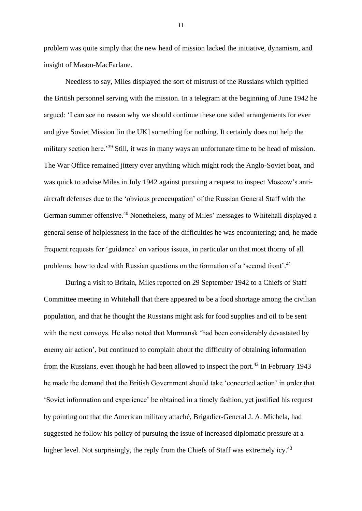problem was quite simply that the new head of mission lacked the initiative, dynamism, and insight of Mason-MacFarlane.

Needless to say, Miles displayed the sort of mistrust of the Russians which typified the British personnel serving with the mission. In a telegram at the beginning of June 1942 he argued: 'I can see no reason why we should continue these one sided arrangements for ever and give Soviet Mission [in the UK] something for nothing. It certainly does not help the military section here.<sup>39</sup> Still, it was in many ways an unfortunate time to be head of mission. The War Office remained jittery over anything which might rock the Anglo-Soviet boat, and was quick to advise Miles in July 1942 against pursuing a request to inspect Moscow's antiaircraft defenses due to the 'obvious preoccupation' of the Russian General Staff with the German summer offensive.<sup>40</sup> Nonetheless, many of Miles' messages to Whitehall displayed a general sense of helplessness in the face of the difficulties he was encountering; and, he made frequent requests for 'guidance' on various issues, in particular on that most thorny of all problems: how to deal with Russian questions on the formation of a 'second front'.<sup>41</sup>

During a visit to Britain, Miles reported on 29 September 1942 to a Chiefs of Staff Committee meeting in Whitehall that there appeared to be a food shortage among the civilian population, and that he thought the Russians might ask for food supplies and oil to be sent with the next convoys. He also noted that Murmansk 'had been considerably devastated by enemy air action', but continued to complain about the difficulty of obtaining information from the Russians, even though he had been allowed to inspect the port.<sup>42</sup> In February 1943 he made the demand that the British Government should take 'concerted action' in order that 'Soviet information and experience' be obtained in a timely fashion, yet justified his request by pointing out that the American military attaché, Brigadier-General J. A. Michela, had suggested he follow his policy of pursuing the issue of increased diplomatic pressure at a higher level. Not surprisingly, the reply from the Chiefs of Staff was extremely icy.<sup>43</sup>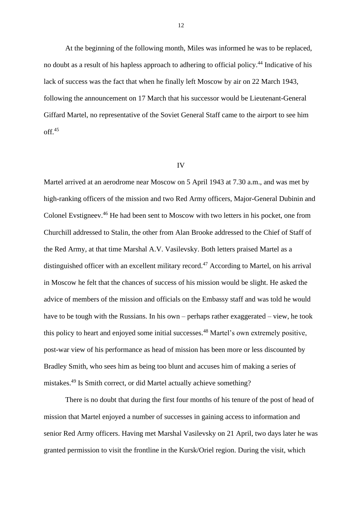At the beginning of the following month, Miles was informed he was to be replaced, no doubt as a result of his hapless approach to adhering to official policy.<sup>44</sup> Indicative of his lack of success was the fact that when he finally left Moscow by air on 22 March 1943, following the announcement on 17 March that his successor would be Lieutenant-General Giffard Martel, no representative of the Soviet General Staff came to the airport to see him off.<sup>45</sup>

#### IV

Martel arrived at an aerodrome near Moscow on 5 April 1943 at 7.30 a.m., and was met by high-ranking officers of the mission and two Red Army officers, Major-General Dubinin and Colonel Evstigneev.<sup>46</sup> He had been sent to Moscow with two letters in his pocket, one from Churchill addressed to Stalin, the other from Alan Brooke addressed to the Chief of Staff of the Red Army, at that time Marshal A.V. Vasilevsky. Both letters praised Martel as a distinguished officer with an excellent military record.<sup>47</sup> According to Martel, on his arrival in Moscow he felt that the chances of success of his mission would be slight. He asked the advice of members of the mission and officials on the Embassy staff and was told he would have to be tough with the Russians. In his own – perhaps rather exaggerated – view, he took this policy to heart and enjoyed some initial successes.<sup>48</sup> Martel's own extremely positive, post-war view of his performance as head of mission has been more or less discounted by Bradley Smith, who sees him as being too blunt and accuses him of making a series of mistakes.<sup>49</sup> Is Smith correct, or did Martel actually achieve something?

There is no doubt that during the first four months of his tenure of the post of head of mission that Martel enjoyed a number of successes in gaining access to information and senior Red Army officers. Having met Marshal Vasilevsky on 21 April, two days later he was granted permission to visit the frontline in the Kursk/Oriel region. During the visit, which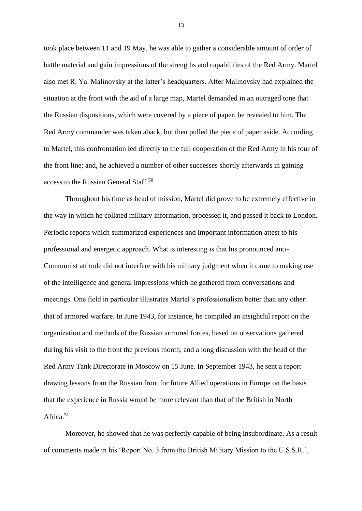took place between 11 and 19 May, he was able to gather a considerable amount of order of battle material and gain impressions of the strengths and capabilities of the Red Army. Martel also met R. Ya. Malinovsky at the latter's headquarters. After Malinovsky had explained the situation at the front with the aid of a large map, Martel demanded in an outraged tone that the Russian dispositions, which were covered by a piece of paper, be revealed to him. The Red Army commander was taken aback, but then pulled the piece of paper aside. According to Martel, this confrontation led directly to the full cooperation of the Red Army in his tour of the front line; and, he achieved a number of other successes shortly afterwards in gaining access to the Russian General Staff.<sup>50</sup>

Throughout his time as head of mission, Martel did prove to be extremely effective in the way in which he collated military information, processed it, and passed it back to London. Periodic reports which summarized experiences and important information attest to his professional and energetic approach. What is interesting is that his pronounced anti-Communist attitude did not interfere with his military judgment when it came to making use of the intelligence and general impressions which he gathered from conversations and meetings. One field in particular illustrates Martel's professionalism better than any other: that of armored warfare. In June 1943, for instance, he compiled an insightful report on the organization and methods of the Russian armored forces, based on observations gathered during his visit to the front the previous month, and a long discussion with the head of the Red Army Tank Directorate in Moscow on 15 June. In September 1943, he sent a report drawing lessons from the Russian front for future Allied operations in Europe on the basis that the experience in Russia would be more relevant than that of the British in North Africa.<sup>51</sup>

Moreover, he showed that he was perfectly capable of being insubordinate. As a result of comments made in his 'Report No. 3 from the British Military Mission to the U.S.S.R.',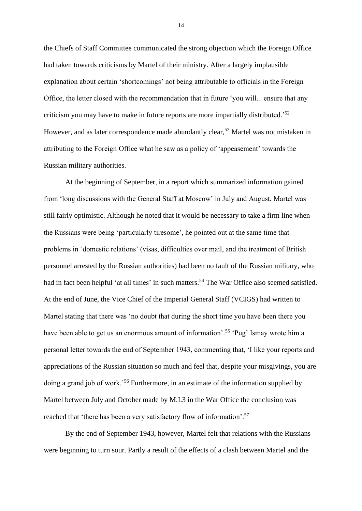the Chiefs of Staff Committee communicated the strong objection which the Foreign Office had taken towards criticisms by Martel of their ministry. After a largely implausible explanation about certain 'shortcomings' not being attributable to officials in the Foreign Office, the letter closed with the recommendation that in future 'you will... ensure that any criticism you may have to make in future reports are more impartially distributed.'<sup>52</sup> However, and as later correspondence made abundantly clear,<sup>53</sup> Martel was not mistaken in attributing to the Foreign Office what he saw as a policy of 'appeasement' towards the Russian military authorities.

At the beginning of September, in a report which summarized information gained from 'long discussions with the General Staff at Moscow' in July and August, Martel was still fairly optimistic. Although he noted that it would be necessary to take a firm line when the Russians were being 'particularly tiresome', he pointed out at the same time that problems in 'domestic relations' (visas, difficulties over mail, and the treatment of British personnel arrested by the Russian authorities) had been no fault of the Russian military, who had in fact been helpful 'at all times' in such matters.<sup>54</sup> The War Office also seemed satisfied. At the end of June, the Vice Chief of the Imperial General Staff (VCIGS) had written to Martel stating that there was 'no doubt that during the short time you have been there you have been able to get us an enormous amount of information'.<sup>55</sup> 'Pug' Ismay wrote him a personal letter towards the end of September 1943, commenting that, 'I like your reports and appreciations of the Russian situation so much and feel that, despite your misgivings, you are doing a grand job of work.'<sup>56</sup> Furthermore, in an estimate of the information supplied by Martel between July and October made by M.I.3 in the War Office the conclusion was reached that 'there has been a very satisfactory flow of information'.<sup>57</sup>

By the end of September 1943, however, Martel felt that relations with the Russians were beginning to turn sour. Partly a result of the effects of a clash between Martel and the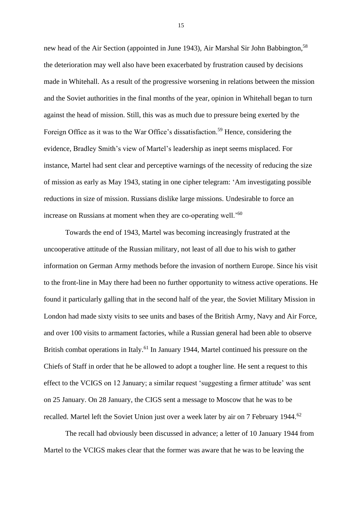new head of the Air Section (appointed in June 1943), Air Marshal Sir John Babbington,<sup>58</sup> the deterioration may well also have been exacerbated by frustration caused by decisions made in Whitehall. As a result of the progressive worsening in relations between the mission and the Soviet authorities in the final months of the year, opinion in Whitehall began to turn against the head of mission. Still, this was as much due to pressure being exerted by the Foreign Office as it was to the War Office's dissatisfaction.<sup>59</sup> Hence, considering the evidence, Bradley Smith's view of Martel's leadership as inept seems misplaced. For instance, Martel had sent clear and perceptive warnings of the necessity of reducing the size of mission as early as May 1943, stating in one cipher telegram: 'Am investigating possible reductions in size of mission. Russians dislike large missions. Undesirable to force an increase on Russians at moment when they are co-operating well.<sup>'60</sup>

Towards the end of 1943, Martel was becoming increasingly frustrated at the uncooperative attitude of the Russian military, not least of all due to his wish to gather information on German Army methods before the invasion of northern Europe. Since his visit to the front-line in May there had been no further opportunity to witness active operations. He found it particularly galling that in the second half of the year, the Soviet Military Mission in London had made sixty visits to see units and bases of the British Army, Navy and Air Force, and over 100 visits to armament factories, while a Russian general had been able to observe British combat operations in Italy.<sup>61</sup> In January 1944, Martel continued his pressure on the Chiefs of Staff in order that he be allowed to adopt a tougher line. He sent a request to this effect to the VCIGS on 12 January; a similar request 'suggesting a firmer attitude' was sent on 25 January. On 28 January, the CIGS sent a message to Moscow that he was to be recalled. Martel left the Soviet Union just over a week later by air on 7 February 1944.<sup>62</sup>

The recall had obviously been discussed in advance; a letter of 10 January 1944 from Martel to the VCIGS makes clear that the former was aware that he was to be leaving the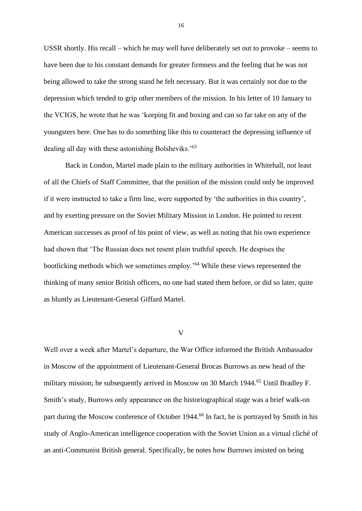USSR shortly. His recall – which he may well have deliberately set out to provoke – seems to have been due to his constant demands for greater firmness and the feeling that he was not being allowed to take the strong stand he felt necessary. But it was certainly not due to the depression which tended to grip other members of the mission. In his letter of 10 January to the VCIGS, he wrote that he was 'keeping fit and boxing and can so far take on any of the youngsters here. One has to do something like this to counteract the depressing influence of dealing all day with these astonishing Bolsheviks.'<sup>63</sup>

Back in London, Martel made plain to the military authorities in Whitehall, not least of all the Chiefs of Staff Committee, that the position of the mission could only be improved if it were instructed to take a firm line, were supported by 'the authorities in this country', and by exerting pressure on the Soviet Military Mission in London. He pointed to recent American successes as proof of his point of view, as well as noting that his own experience had shown that 'The Russian does not resent plain truthful speech. He despises the bootlicking methods which we sometimes employ.'<sup>64</sup> While these views represented the thinking of many senior British officers, no one had stated them before, or did so later, quite as bluntly as Lieutenant-General Giffard Martel.

#### V

Well over a week after Martel's departure, the War Office informed the British Ambassador in Moscow of the appointment of Lieutenant-General Brocas Burrows as new head of the military mission; he subsequently arrived in Moscow on 30 March 1944.<sup>65</sup> Until Bradley F. Smith's study, Burrows only appearance on the historiographical stage was a brief walk-on part during the Moscow conference of October 1944.<sup>66</sup> In fact, he is portrayed by Smith in his study of Anglo-American intelligence cooperation with the Soviet Union as a virtual cliché of an anti-Communist British general. Specifically, he notes how Burrows insisted on being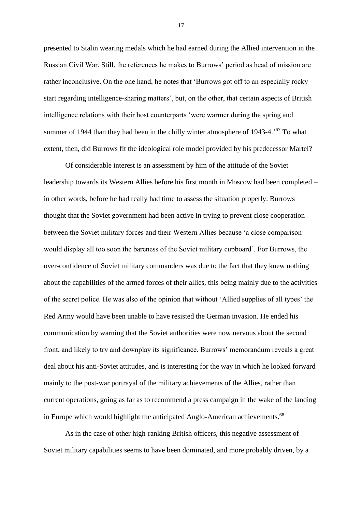presented to Stalin wearing medals which he had earned during the Allied intervention in the Russian Civil War. Still, the references he makes to Burrows' period as head of mission are rather inconclusive. On the one hand, he notes that 'Burrows got off to an especially rocky start regarding intelligence-sharing matters', but, on the other, that certain aspects of British intelligence relations with their host counterparts 'were warmer during the spring and summer of 1944 than they had been in the chilly winter atmosphere of 1943-4.<sup>57</sup> To what extent, then, did Burrows fit the ideological role model provided by his predecessor Martel?

Of considerable interest is an assessment by him of the attitude of the Soviet leadership towards its Western Allies before his first month in Moscow had been completed – in other words, before he had really had time to assess the situation properly. Burrows thought that the Soviet government had been active in trying to prevent close cooperation between the Soviet military forces and their Western Allies because 'a close comparison would display all too soon the bareness of the Soviet military cupboard'. For Burrows, the over-confidence of Soviet military commanders was due to the fact that they knew nothing about the capabilities of the armed forces of their allies, this being mainly due to the activities of the secret police. He was also of the opinion that without 'Allied supplies of all types' the Red Army would have been unable to have resisted the German invasion. He ended his communication by warning that the Soviet authorities were now nervous about the second front, and likely to try and downplay its significance. Burrows' memorandum reveals a great deal about his anti-Soviet attitudes, and is interesting for the way in which he looked forward mainly to the post-war portrayal of the military achievements of the Allies, rather than current operations, going as far as to recommend a press campaign in the wake of the landing in Europe which would highlight the anticipated Anglo-American achievements.<sup>68</sup>

As in the case of other high-ranking British officers, this negative assessment of Soviet military capabilities seems to have been dominated, and more probably driven, by a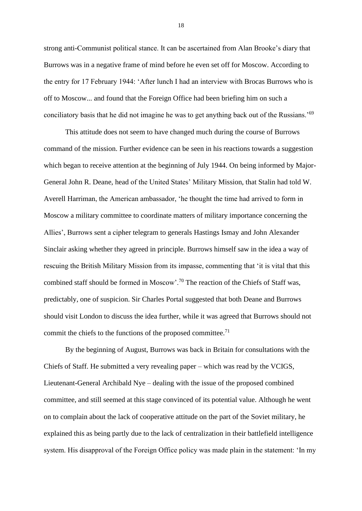strong anti-Communist political stance. It can be ascertained from Alan Brooke's diary that Burrows was in a negative frame of mind before he even set off for Moscow. According to the entry for 17 February 1944: 'After lunch I had an interview with Brocas Burrows who is off to Moscow... and found that the Foreign Office had been briefing him on such a conciliatory basis that he did not imagine he was to get anything back out of the Russians.'<sup>69</sup>

This attitude does not seem to have changed much during the course of Burrows command of the mission. Further evidence can be seen in his reactions towards a suggestion which began to receive attention at the beginning of July 1944. On being informed by Major-General John R. Deane, head of the United States' Military Mission, that Stalin had told W. Averell Harriman, the American ambassador, 'he thought the time had arrived to form in Moscow a military committee to coordinate matters of military importance concerning the Allies', Burrows sent a cipher telegram to generals Hastings Ismay and John Alexander Sinclair asking whether they agreed in principle. Burrows himself saw in the idea a way of rescuing the British Military Mission from its impasse, commenting that 'it is vital that this combined staff should be formed in Moscow'.<sup>70</sup> The reaction of the Chiefs of Staff was, predictably, one of suspicion. Sir Charles Portal suggested that both Deane and Burrows should visit London to discuss the idea further, while it was agreed that Burrows should not commit the chiefs to the functions of the proposed committee.<sup>71</sup>

By the beginning of August, Burrows was back in Britain for consultations with the Chiefs of Staff. He submitted a very revealing paper – which was read by the VCIGS, Lieutenant-General Archibald Nye – dealing with the issue of the proposed combined committee, and still seemed at this stage convinced of its potential value. Although he went on to complain about the lack of cooperative attitude on the part of the Soviet military, he explained this as being partly due to the lack of centralization in their battlefield intelligence system. His disapproval of the Foreign Office policy was made plain in the statement: 'In my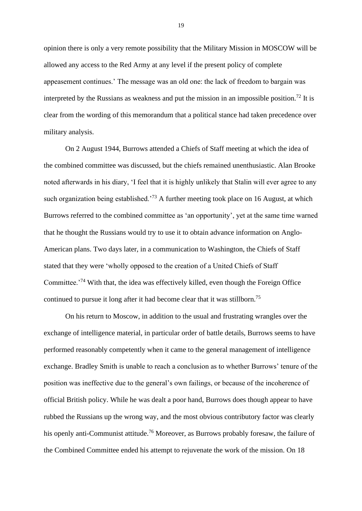opinion there is only a very remote possibility that the Military Mission in MOSCOW will be allowed any access to the Red Army at any level if the present policy of complete appeasement continues.' The message was an old one: the lack of freedom to bargain was interpreted by the Russians as weakness and put the mission in an impossible position.<sup>72</sup> It is clear from the wording of this memorandum that a political stance had taken precedence over military analysis.

On 2 August 1944, Burrows attended a Chiefs of Staff meeting at which the idea of the combined committee was discussed, but the chiefs remained unenthusiastic. Alan Brooke noted afterwards in his diary, 'I feel that it is highly unlikely that Stalin will ever agree to any such organization being established.<sup>73</sup> A further meeting took place on 16 August, at which Burrows referred to the combined committee as 'an opportunity', yet at the same time warned that he thought the Russians would try to use it to obtain advance information on Anglo-American plans. Two days later, in a communication to Washington, the Chiefs of Staff stated that they were 'wholly opposed to the creation of a United Chiefs of Staff Committee.'<sup>74</sup> With that, the idea was effectively killed, even though the Foreign Office continued to pursue it long after it had become clear that it was stillborn.<sup>75</sup>

On his return to Moscow, in addition to the usual and frustrating wrangles over the exchange of intelligence material, in particular order of battle details, Burrows seems to have performed reasonably competently when it came to the general management of intelligence exchange. Bradley Smith is unable to reach a conclusion as to whether Burrows' tenure of the position was ineffective due to the general's own failings, or because of the incoherence of official British policy. While he was dealt a poor hand, Burrows does though appear to have rubbed the Russians up the wrong way, and the most obvious contributory factor was clearly his openly anti-Communist attitude.<sup>76</sup> Moreover, as Burrows probably foresaw, the failure of the Combined Committee ended his attempt to rejuvenate the work of the mission. On 18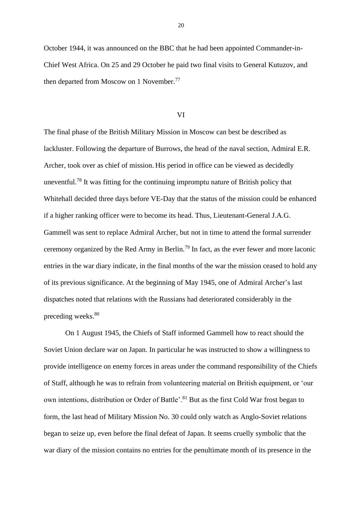October 1944, it was announced on the BBC that he had been appointed Commander-in-Chief West Africa. On 25 and 29 October he paid two final visits to General Kutuzov, and then departed from Moscow on 1 November.<sup>77</sup>

#### VI

The final phase of the British Military Mission in Moscow can best be described as lackluster. Following the departure of Burrows, the head of the naval section, Admiral E.R. Archer, took over as chief of mission. His period in office can be viewed as decidedly uneventful.<sup>78</sup> It was fitting for the continuing impromptu nature of British policy that Whitehall decided three days before VE-Day that the status of the mission could be enhanced if a higher ranking officer were to become its head. Thus, Lieutenant-General J.A.G. Gammell was sent to replace Admiral Archer, but not in time to attend the formal surrender ceremony organized by the Red Army in Berlin.<sup>79</sup> In fact, as the ever fewer and more laconic entries in the war diary indicate, in the final months of the war the mission ceased to hold any of its previous significance. At the beginning of May 1945, one of Admiral Archer's last dispatches noted that relations with the Russians had deteriorated considerably in the preceding weeks.<sup>80</sup>

On 1 August 1945, the Chiefs of Staff informed Gammell how to react should the Soviet Union declare war on Japan. In particular he was instructed to show a willingness to provide intelligence on enemy forces in areas under the command responsibility of the Chiefs of Staff, although he was to refrain from volunteering material on British equipment, or 'our own intentions, distribution or Order of Battle'.<sup>81</sup> But as the first Cold War frost began to form, the last head of Military Mission No. 30 could only watch as Anglo-Soviet relations began to seize up, even before the final defeat of Japan. It seems cruelly symbolic that the war diary of the mission contains no entries for the penultimate month of its presence in the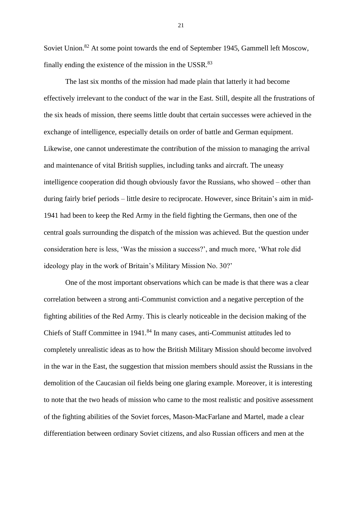Soviet Union.<sup>82</sup> At some point towards the end of September 1945, Gammell left Moscow, finally ending the existence of the mission in the USSR. $^{83}$ 

The last six months of the mission had made plain that latterly it had become effectively irrelevant to the conduct of the war in the East. Still, despite all the frustrations of the six heads of mission, there seems little doubt that certain successes were achieved in the exchange of intelligence, especially details on order of battle and German equipment. Likewise, one cannot underestimate the contribution of the mission to managing the arrival and maintenance of vital British supplies, including tanks and aircraft. The uneasy intelligence cooperation did though obviously favor the Russians, who showed – other than during fairly brief periods – little desire to reciprocate. However, since Britain's aim in mid-1941 had been to keep the Red Army in the field fighting the Germans, then one of the central goals surrounding the dispatch of the mission was achieved. But the question under consideration here is less, 'Was the mission a success?', and much more, 'What role did ideology play in the work of Britain's Military Mission No. 30?'

One of the most important observations which can be made is that there was a clear correlation between a strong anti-Communist conviction and a negative perception of the fighting abilities of the Red Army. This is clearly noticeable in the decision making of the Chiefs of Staff Committee in 1941.<sup>84</sup> In many cases, anti-Communist attitudes led to completely unrealistic ideas as to how the British Military Mission should become involved in the war in the East, the suggestion that mission members should assist the Russians in the demolition of the Caucasian oil fields being one glaring example. Moreover, it is interesting to note that the two heads of mission who came to the most realistic and positive assessment of the fighting abilities of the Soviet forces, Mason-MacFarlane and Martel, made a clear differentiation between ordinary Soviet citizens, and also Russian officers and men at the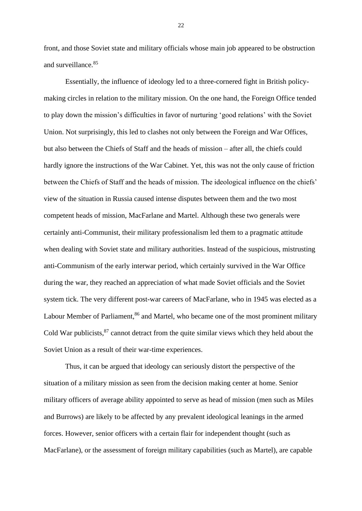front, and those Soviet state and military officials whose main job appeared to be obstruction and surveillance.<sup>85</sup>

Essentially, the influence of ideology led to a three-cornered fight in British policymaking circles in relation to the military mission. On the one hand, the Foreign Office tended to play down the mission's difficulties in favor of nurturing 'good relations' with the Soviet Union. Not surprisingly, this led to clashes not only between the Foreign and War Offices, but also between the Chiefs of Staff and the heads of mission – after all, the chiefs could hardly ignore the instructions of the War Cabinet. Yet, this was not the only cause of friction between the Chiefs of Staff and the heads of mission. The ideological influence on the chiefs' view of the situation in Russia caused intense disputes between them and the two most competent heads of mission, MacFarlane and Martel. Although these two generals were certainly anti-Communist, their military professionalism led them to a pragmatic attitude when dealing with Soviet state and military authorities. Instead of the suspicious, mistrusting anti-Communism of the early interwar period, which certainly survived in the War Office during the war, they reached an appreciation of what made Soviet officials and the Soviet system tick. The very different post-war careers of MacFarlane, who in 1945 was elected as a Labour Member of Parliament,<sup>86</sup> and Martel, who became one of the most prominent military Cold War publicists,  $87$  cannot detract from the quite similar views which they held about the Soviet Union as a result of their war-time experiences.

Thus, it can be argued that ideology can seriously distort the perspective of the situation of a military mission as seen from the decision making center at home. Senior military officers of average ability appointed to serve as head of mission (men such as Miles and Burrows) are likely to be affected by any prevalent ideological leanings in the armed forces. However, senior officers with a certain flair for independent thought (such as MacFarlane), or the assessment of foreign military capabilities (such as Martel), are capable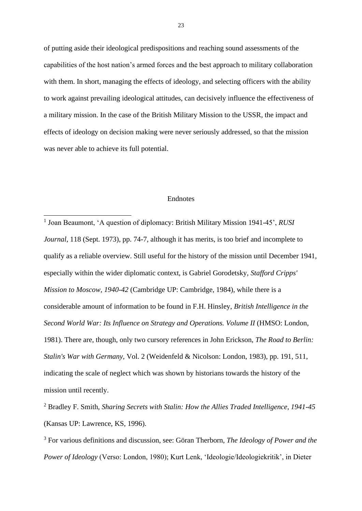of putting aside their ideological predispositions and reaching sound assessments of the capabilities of the host nation's armed forces and the best approach to military collaboration with them. In short, managing the effects of ideology, and selecting officers with the ability to work against prevailing ideological attitudes, can decisively influence the effectiveness of a military mission. In the case of the British Military Mission to the USSR, the impact and effects of ideology on decision making were never seriously addressed, so that the mission was never able to achieve its full potential.

#### Endnotes

<sup>&</sup>lt;sup>1</sup> Joan Beaumont, 'A question of diplomacy: British Military Mission 1941-45', *RUSI Journal*, 118 (Sept. 1973), pp. 74-7, although it has merits, is too brief and incomplete to qualify as a reliable overview. Still useful for the history of the mission until December 1941, especially within the wider diplomatic context, is Gabriel Gorodetsky, *Stafford Cripps' Mission to Moscow, 1940-42* (Cambridge UP: Cambridge, 1984), while there is a considerable amount of information to be found in F.H. Hinsley, *British Intelligence in the Second World War: Its Influence on Strategy and Operations. Volume II* (HMSO: London, 1981). There are, though, only two cursory references in John Erickson, *The Road to Berlin: Stalin's War with Germany,* Vol. 2 (Weidenfeld & Nicolson: London, 1983), pp. 191, 511, indicating the scale of neglect which was shown by historians towards the history of the mission until recently.

<sup>2</sup> Bradley F. Smith, *Sharing Secrets with Stalin: How the Allies Traded Intelligence, 1941-45* (Kansas UP: Lawrence, KS, 1996).

<sup>3</sup> For various definitions and discussion, see: Göran Therborn, *The Ideology of Power and the Power of Ideology* (Verso: London, 1980); Kurt Lenk, 'Ideologie/Ideologiekritik', in Dieter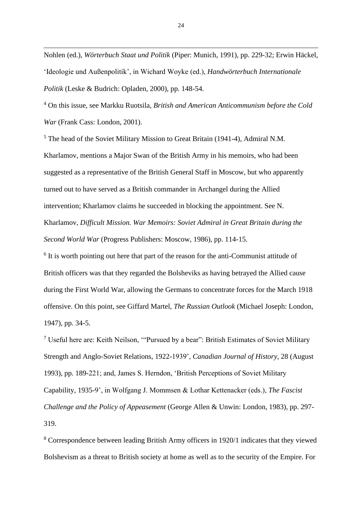Nohlen (ed.), *Wörterbuch Staat und Politik* (Piper: Munich, 1991), pp. 229-32; Erwin Häckel, 'Ideologie und Außenpolitik', in Wichard Woyke (ed.), *Handwörterbuch Internationale Politik* (Leske & Budrich: Opladen, 2000), pp. 148-54.

<sup>4</sup> On this issue, see Markku Ruotsila, *British and American Anticommunism before the Cold War* (Frank Cass: London, 2001).

<sup>5</sup> The head of the Soviet Military Mission to Great Britain (1941-4), Admiral N.M. Kharlamov, mentions a Major Swan of the British Army in his memoirs, who had been suggested as a representative of the British General Staff in Moscow, but who apparently turned out to have served as a British commander in Archangel during the Allied intervention; Kharlamov claims he succeeded in blocking the appointment. See N. Kharlamov, *Difficult Mission. War Memoirs: Soviet Admiral in Great Britain during the Second World War* (Progress Publishers: Moscow, 1986), pp. 114-15.

<sup>6</sup> It is worth pointing out here that part of the reason for the anti-Communist attitude of British officers was that they regarded the Bolsheviks as having betrayed the Allied cause during the First World War, allowing the Germans to concentrate forces for the March 1918 offensive. On this point, see Giffard Martel, *The Russian Outlook* (Michael Joseph: London, 1947), pp. 34-5.

<sup>7</sup> Useful here are: Keith Neilson, "Pursued by a bear": British Estimates of Soviet Military Strength and Anglo-Soviet Relations, 1922-1939', *Canadian Journal of History*, 28 (August 1993), pp. 189-221; and, James S. Herndon, 'British Perceptions of Soviet Military Capability, 1935-9', in Wolfgang J. Mommsen & Lothar Kettenacker (eds.), *The Fascist Challenge and the Policy of Appeasement* (George Allen & Unwin: London, 1983), pp. 297- 319.

<sup>8</sup> Correspondence between leading British Army officers in 1920/1 indicates that they viewed Bolshevism as a threat to British society at home as well as to the security of the Empire. For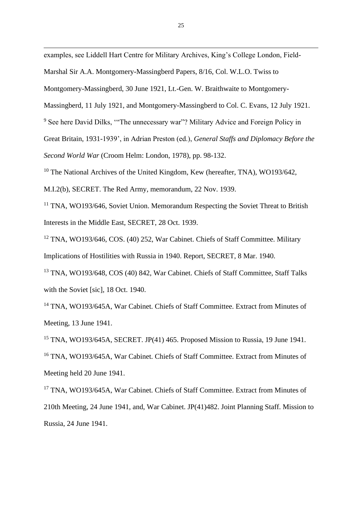examples, see Liddell Hart Centre for Military Archives, King's College London, Field-

Marshal Sir A.A. Montgomery-Massingberd Papers, 8/16, Col. W.L.O. Twiss to

Montgomery-Massingberd, 30 June 1921, Lt.-Gen. W. Braithwaite to Montgomery-

Massingberd, 11 July 1921, and Montgomery-Massingberd to Col. C. Evans, 12 July 1921.

<sup>9</sup> See here David Dilks, "The unnecessary war"? Military Advice and Foreign Policy in

Great Britain, 1931-1939', in Adrian Preston (ed.), *General Staffs and Diplomacy Before the* 

*Second World War* (Croom Helm: London, 1978), pp. 98-132.

<sup>10</sup> The National Archives of the United Kingdom, Kew (hereafter, TNA), WO193/642,

M.I.2(b), SECRET. The Red Army, memorandum, 22 Nov. 1939.

<sup>11</sup> TNA, WO193/646, Soviet Union. Memorandum Respecting the Soviet Threat to British Interests in the Middle East, SECRET, 28 Oct. 1939.

<sup>12</sup> TNA, WO193/646, COS. (40) 252, War Cabinet. Chiefs of Staff Committee. Military Implications of Hostilities with Russia in 1940. Report, SECRET, 8 Mar. 1940.

<sup>13</sup> TNA, WO193/648, COS (40) 842, War Cabinet. Chiefs of Staff Committee, Staff Talks with the Soviet [sic], 18 Oct. 1940.

<sup>14</sup> TNA, WO193/645A, War Cabinet. Chiefs of Staff Committee. Extract from Minutes of Meeting, 13 June 1941.

<sup>15</sup> TNA, WO193/645A, SECRET. JP(41) 465. Proposed Mission to Russia, 19 June 1941. <sup>16</sup> TNA, WO193/645A, War Cabinet. Chiefs of Staff Committee. Extract from Minutes of Meeting held 20 June 1941.

<sup>17</sup> TNA, WO193/645A, War Cabinet. Chiefs of Staff Committee. Extract from Minutes of 210th Meeting, 24 June 1941, and, War Cabinet. JP(41)482. Joint Planning Staff. Mission to Russia, 24 June 1941.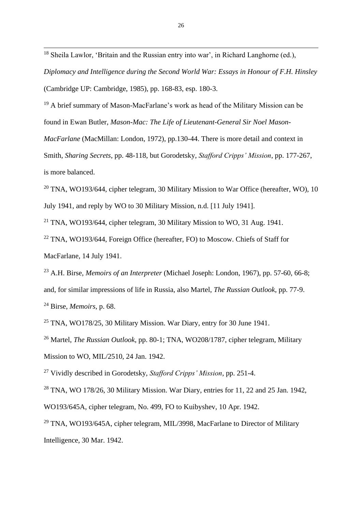<sup>18</sup> Sheila Lawlor, 'Britain and the Russian entry into war', in Richard Langhorne (ed.), *Diplomacy and Intelligence during the Second World War: Essays in Honour of F.H. Hinsley* (Cambridge UP: Cambridge, 1985), pp. 168-83, esp. 180-3.

<sup>19</sup> A brief summary of Mason-MacFarlane's work as head of the Military Mission can be found in Ewan Butler, *Mason-Mac: The Life of Lieutenant-General Sir Noel Mason-MacFarlane* (MacMillan: London, 1972), pp.130-44. There is more detail and context in Smith, *Sharing Secrets*, pp. 48-118, but Gorodetsky, *Stafford Cripps' Mission*, pp. 177-267, is more balanced.

<sup>20</sup> TNA, WO193/644, cipher telegram, 30 Military Mission to War Office (hereafter, WO), 10 July 1941, and reply by WO to 30 Military Mission, n.d. [11 July 1941].

<sup>21</sup> TNA, WO193/644, cipher telegram, 30 Military Mission to WO, 31 Aug. 1941.

<sup>22</sup> TNA, WO193/644, Foreign Office (hereafter, FO) to Moscow. Chiefs of Staff for MacFarlane, 14 July 1941.

<sup>23</sup> A.H. Birse, *Memoirs of an Interpreter* (Michael Joseph: London, 1967), pp. 57-60, 66-8; and, for similar impressions of life in Russia, also Martel, *The Russian Outlook*, pp. 77-9. <sup>24</sup> Birse, *Memoirs*, p. 68.

<sup>25</sup> TNA, WO178/25, 30 Military Mission. War Diary, entry for 30 June 1941.

<sup>26</sup> Martel, *The Russian Outlook*, pp. 80-1; TNA, WO208/1787, cipher telegram, Military Mission to WO, MIL/2510, 24 Jan. 1942.

<sup>27</sup> Vividly described in Gorodetsky, *Stafford Cripps' Mission*, pp. 251-4.

 $28$  TNA, WO 178/26, 30 Military Mission. War Diary, entries for 11, 22 and 25 Jan. 1942, WO193/645A, cipher telegram, No. 499, FO to Kuibyshev, 10 Apr. 1942.

<sup>29</sup> TNA, WO193/645A, cipher telegram, MIL/3998, MacFarlane to Director of Military Intelligence, 30 Mar. 1942.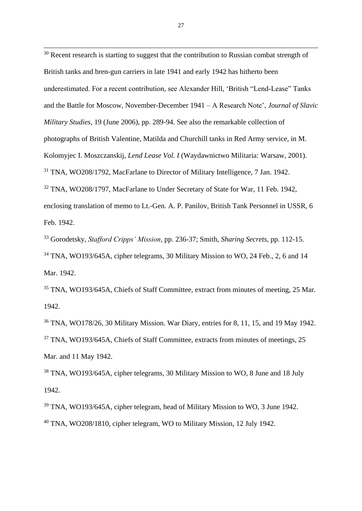$30$  Recent research is starting to suggest that the contribution to Russian combat strength of British tanks and bren-gun carriers in late 1941 and early 1942 has hitherto been underestimated. For a recent contribution, see Alexander Hill, 'British "Lend-Lease" Tanks and the Battle for Moscow, November-December 1941 – A Research Note', *Journal of Slavic Military Studies*, 19 (June 2006), pp. 289-94. See also the remarkable collection of photographs of British Valentine, Matilda and Churchill tanks in Red Army service, in M. Kolomyjec I. Moszczanskij, *Lend Lease Vol. I* (Waydawnictwo Militaria: Warsaw, 2001). <sup>31</sup> TNA, WO208/1792, MacFarlane to Director of Military Intelligence, 7 Jan. 1942. <sup>32</sup> TNA, WO208/1797, MacFarlane to Under Secretary of State for War, 11 Feb. 1942, enclosing translation of memo to Lt.-Gen. A. P. Panilov, British Tank Personnel in USSR, 6 Feb. 1942.

<sup>33</sup> Gorodetsky, *Stafford Cripps' Mission*, pp. 236-37; Smith, *Sharing Secrets*, pp. 112-15.

<sup>34</sup> TNA, WO193/645A, cipher telegrams, 30 Military Mission to WO, 24 Feb., 2, 6 and 14 Mar. 1942.

<sup>35</sup> TNA, WO193/645A, Chiefs of Staff Committee, extract from minutes of meeting, 25 Mar. 1942.

<sup>36</sup> TNA, WO178/26, 30 Military Mission. War Diary, entries for 8, 11, 15, and 19 May 1942. <sup>37</sup> TNA, WO193/645A, Chiefs of Staff Committee, extracts from minutes of meetings, 25 Mar. and 11 May 1942.

<sup>38</sup> TNA, WO193/645A, cipher telegrams, 30 Military Mission to WO, 8 June and 18 July 1942.

<sup>39</sup> TNA, WO193/645A, cipher telegram, head of Military Mission to WO, 3 June 1942. <sup>40</sup> TNA, WO208/1810, cipher telegram, WO to Military Mission, 12 July 1942.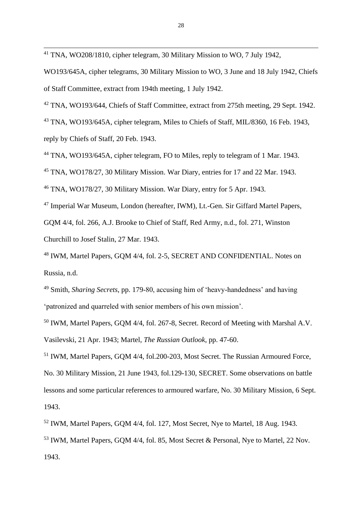<sup>41</sup> TNA, WO208/1810, cipher telegram, 30 Military Mission to WO, 7 July 1942,

WO193/645A, cipher telegrams, 30 Military Mission to WO, 3 June and 18 July 1942, Chiefs of Staff Committee, extract from 194th meeting, 1 July 1942.

<sup>42</sup> TNA, WO193/644, Chiefs of Staff Committee, extract from 275th meeting, 29 Sept. 1942.

<sup>43</sup> TNA, WO193/645A, cipher telegram, Miles to Chiefs of Staff, MIL/8360, 16 Feb. 1943, reply by Chiefs of Staff, 20 Feb. 1943.

<sup>44</sup> TNA, WO193/645A, cipher telegram, FO to Miles, reply to telegram of 1 Mar. 1943.

<sup>45</sup> TNA, WO178/27, 30 Military Mission. War Diary, entries for 17 and 22 Mar. 1943.

<sup>46</sup> TNA, WO178/27, 30 Military Mission. War Diary, entry for 5 Apr. 1943.

<sup>47</sup> Imperial War Museum, London (hereafter, IWM), Lt.-Gen. Sir Giffard Martel Papers,

GQM 4/4, fol. 266, A.J. Brooke to Chief of Staff, Red Army, n.d., fol. 271, Winston Churchill to Josef Stalin, 27 Mar. 1943.

<sup>48</sup> IWM, Martel Papers, GQM 4/4, fol. 2-5, SECRET AND CONFIDENTIAL. Notes on Russia, n.d.

<sup>49</sup> Smith, *Sharing Secrets*, pp. 179-80, accusing him of 'heavy-handedness' and having 'patronized and quarreled with senior members of his own mission'.

<sup>50</sup> IWM, Martel Papers, GQM 4/4, fol. 267-8, Secret. Record of Meeting with Marshal A.V. Vasilevski, 21 Apr. 1943; Martel, *The Russian Outlook*, pp. 47-60.

<sup>51</sup> IWM, Martel Papers, GQM 4/4, fol.200-203, Most Secret. The Russian Armoured Force, No. 30 Military Mission, 21 June 1943, fol.129-130, SECRET. Some observations on battle lessons and some particular references to armoured warfare, No. 30 Military Mission, 6 Sept. 1943.

<sup>52</sup> IWM, Martel Papers, GQM 4/4, fol. 127, Most Secret, Nye to Martel, 18 Aug. 1943. <sup>53</sup> IWM, Martel Papers, GQM 4/4, fol. 85, Most Secret & Personal, Nye to Martel, 22 Nov. 1943.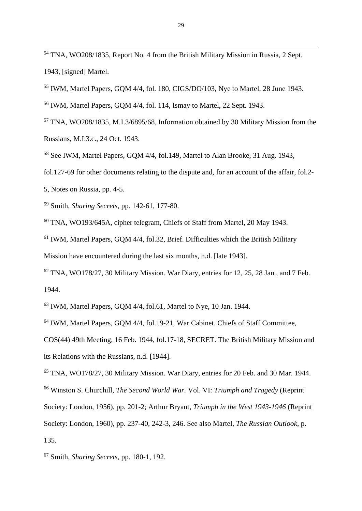- <sup>54</sup> TNA, WO208/1835, Report No. 4 from the British Military Mission in Russia, 2 Sept. 1943, [signed] Martel.
- <sup>55</sup> IWM, Martel Papers, GQM 4/4, fol. 180, CIGS/DO/103, Nye to Martel, 28 June 1943.

<sup>56</sup> IWM, Martel Papers, GQM 4/4, fol. 114, Ismay to Martel, 22 Sept. 1943.

<sup>57</sup> TNA, WO208/1835, M.I.3/6895/68, Information obtained by 30 Military Mission from the Russians, M.I.3.c., 24 Oct. 1943.

<sup>58</sup> See IWM, Martel Papers, GQM 4/4, fol.149, Martel to Alan Brooke, 31 Aug. 1943,

fol.127-69 for other documents relating to the dispute and, for an account of the affair, fol.2-

5, Notes on Russia, pp. 4-5.

<sup>59</sup> Smith, *Sharing Secrets*, pp. 142-61, 177-80.

<sup>60</sup> TNA, WO193/645A, cipher telegram, Chiefs of Staff from Martel, 20 May 1943.

 $<sup>61</sup>$  IWM, Martel Papers, GQM 4/4, fol.32, Brief. Difficulties which the British Military</sup>

Mission have encountered during the last six months, n.d. [late 1943].

 $62$  TNA, WO178/27, 30 Military Mission. War Diary, entries for 12, 25, 28 Jan., and 7 Feb. 1944.

<sup>63</sup> IWM, Martel Papers, GQM 4/4, fol.61, Martel to Nye, 10 Jan. 1944.

<sup>64</sup> IWM, Martel Papers, GQM 4/4, fol.19-21, War Cabinet. Chiefs of Staff Committee,

COS(44) 49th Meeting, 16 Feb. 1944, fol.17-18, SECRET. The British Military Mission and its Relations with the Russians, n.d. [1944].

<sup>65</sup> TNA, WO178/27, 30 Military Mission. War Diary, entries for 20 Feb. and 30 Mar. 1944.

<sup>66</sup> Winston S. Churchill, *The Second World War.* Vol. VI: *Triumph and Tragedy* (Reprint

Society: London, 1956), pp. 201-2; Arthur Bryant, *Triumph in the West 1943-1946* (Reprint

Society: London, 1960), pp. 237-40, 242-3, 246. See also Martel, *The Russian Outlook*, p.

135.

<sup>67</sup> Smith, *Sharing Secrets*, pp. 180-1, 192.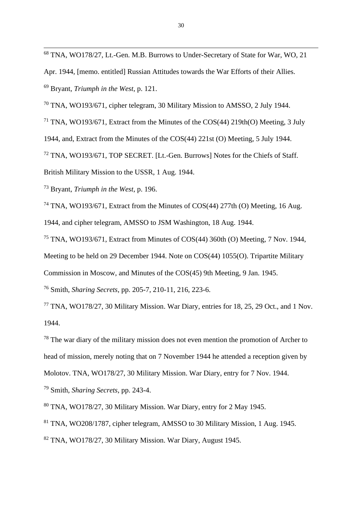$\overline{68}$  TNA, WO178/27, Lt.-Gen. M.B. Burrows to Under-Secretary of State for War, WO, 21 Apr. 1944, [memo. entitled] Russian Attitudes towards the War Efforts of their Allies. <sup>69</sup> Bryant, *Triumph in the West*, p. 121.

<sup>70</sup> TNA, WO193/671, cipher telegram, 30 Military Mission to AMSSO, 2 July 1944.

<sup>71</sup> TNA, WO193/671, Extract from the Minutes of the  $\cos(44)$  219th(O) Meeting, 3 July 1944, and, Extract from the Minutes of the COS(44) 221st (O) Meeting, 5 July 1944.

<sup>72</sup> TNA, WO193/671, TOP SECRET. [Lt.-Gen. Burrows] Notes for the Chiefs of Staff.

British Military Mission to the USSR, 1 Aug. 1944.

<sup>73</sup> Bryant, *Triumph in the West*, p. 196.

<sup>74</sup> TNA, WO193/671, Extract from the Minutes of COS(44) 277th (O) Meeting, 16 Aug. 1944, and cipher telegram, AMSSO to JSM Washington, 18 Aug. 1944.

<sup>75</sup> TNA, WO193/671, Extract from Minutes of COS(44) 360th (O) Meeting, 7 Nov. 1944,

Meeting to be held on 29 December 1944. Note on COS(44) 1055(O). Tripartite Military

Commission in Moscow, and Minutes of the COS(45) 9th Meeting, 9 Jan. 1945.

<sup>76</sup> Smith, *Sharing Secrets*, pp. 205-7, 210-11, 216, 223-6.

<sup>77</sup> TNA, WO178/27, 30 Military Mission. War Diary, entries for 18, 25, 29 Oct., and 1 Nov. 1944.

<sup>78</sup> The war diary of the military mission does not even mention the promotion of Archer to head of mission, merely noting that on 7 November 1944 he attended a reception given by Molotov. TNA, WO178/27, 30 Military Mission. War Diary, entry for 7 Nov. 1944.

<sup>79</sup> Smith, *Sharing Secrets*, pp. 243-4.

<sup>80</sup> TNA, WO178/27, 30 Military Mission. War Diary, entry for 2 May 1945.

<sup>81</sup> TNA, WO208/1787, cipher telegram, AMSSO to 30 Military Mission, 1 Aug. 1945.

<sup>82</sup> TNA, WO178/27, 30 Military Mission. War Diary, August 1945.